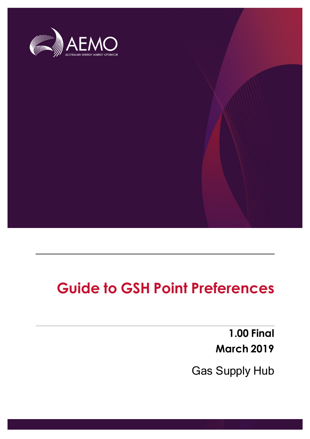

**Guide to GSH Point Preferences**

**1.00 Final March 2019**

Gas Supply Hub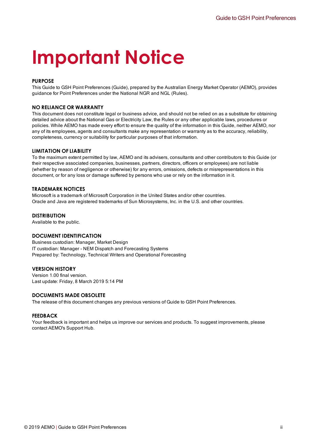# **Important Notice**

#### **PURPOSE**

This Guide to GSH Point Preferences (Guide), prepared by the Australian Energy Market Operator (AEMO), provides guidance for Point Preferences under the National NGR and NGL (Rules).

#### **NO RELIANCE OR WARRANTY**

This document does not constitute legal or business advice, and should not be relied on as a substitute for obtaining detailed advice about the National Gas or Electricity Law, the Rules or any other applicable laws, procedures or policies. While AEMO has made every effort to ensure the quality of the information in this Guide, neither AEMO, nor any of its employees, agents and consultants make any representation or warranty as to the accuracy, reliability, completeness, currency or suitability for particular purposes of that information.

#### **LIMITATION OF LIABILITY**

To the maximum extent permitted by law, AEMO and its advisers, consultants and other contributors to this Guide (or their respective associated companies, businesses, partners, directors, officers or employees) are not liable (whether by reason of negligence or otherwise) for any errors, omissions, defects or misrepresentations in this document, or for any loss or damage suffered by persons who use or rely on the information in it.

#### **TRADEMARK NOTICES**

Microsoft is a trademark of Microsoft Corporation in the United States and/or other countries. Oracle and Java are registered trademarks of Sun Microsystems, Inc. in the U.S. and other countries.

#### **DISTRIBUTION**

Available to the public.

#### **DOCUMENT IDENTIFICATION**

Business custodian: Manager, Market Design IT custodian: Manager - NEM Dispatch and Forecasting Systems Prepared by: Technology, Technical Writers and Operational Forecasting

#### **VERSION HISTORY**

Version 1.00 final version. Last update: Friday, 8 March 2019 5:14 PM

#### **DOCUMENTS MADE OBSOLETE**

The release of this document changes any previous versions of Guide to GSH Point Preferences.

#### **FEEDBACK**

Your feedback is important and helps us improve our services and products. To suggest improvements, please contact AEMO's Support Hub.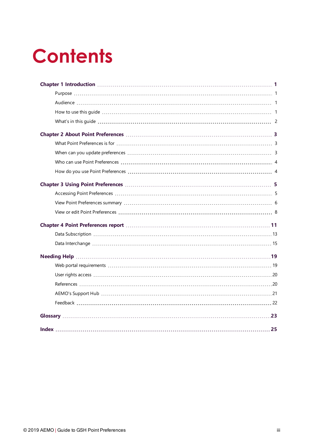# **Contents**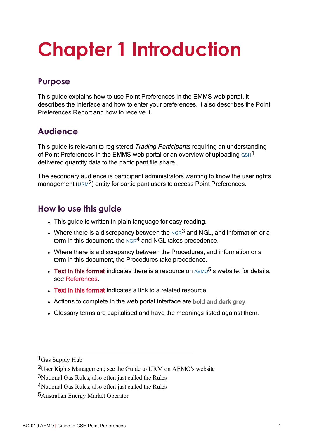# <span id="page-3-0"></span>**Chapter 1 Introduction**

# <span id="page-3-1"></span>**Purpose**

This guide explains how to use Point Preferences in the EMMS web portal. It describes the interface and how to enter your preferences. It also describes the Point Preferences Report and how to receive it.

# <span id="page-3-2"></span>**Audience**

This guide is relevant to registered Trading Participants requiring an understanding of Point Preferences in the EMMS web portal or an overview of uploading  $GSH<sup>1</sup>$ delivered quantity data to the participant file share.

<span id="page-3-4"></span>The secondary audience is participant administrators wanting to know the user rights management (URM<sup>2</sup>) entity for participant users to access Point Preferences.

# <span id="page-3-3"></span>**How to use this guide**

- This guide is written in plain language for easy reading.
- Where there is a discrepancy between the  $_{\rm NGR}$ <sup>3</sup> and NGL, and information or a term in this document, the  $NGR<sup>4</sup>$  and NGL takes precedence.
- Where there is a discrepancy between the Procedures, and information or a term in this document, the Procedures take precedence.
- **Text in this format** indicates there is a resource on  $AEMO<sup>5</sup>$ 's website, for details. see [References.](#page-22-1)
- Text in this format indicates a link to a related resource.
- Actions to complete in the web portal interface are bold and dark grey.
- Glossary terms are capitalised and have the meanings listed against them.

<sup>1</sup>Gas Supply Hub

<sup>2</sup>User Rights Management; see the Guide to URM on AEMO's website

<sup>3</sup>National Gas Rules; also often just called the Rules

<sup>4</sup>National Gas Rules; also often just called the Rules

<sup>5</sup>Australian Energy Market Operator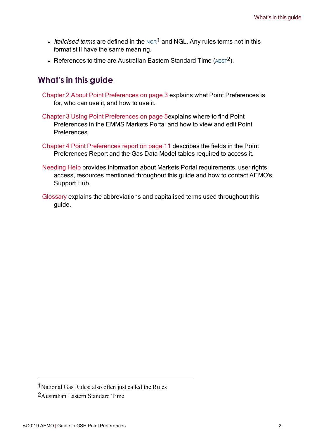- Italicised terms are defined in the NGR<sup>1</sup> and NGL. Any rules terms not in this format still have the same meaning.
- <span id="page-4-0"></span>• References to time are Australian Eastern Standard Time ( $AEST<sup>2</sup>$ ).

# **What's in this guide**

- Chapter 2 About Point [Preferences](#page-5-0) on page 3 explains what Point Preferences is for, who can use it, and how to use it.
- Chapter 3 Using Point [Preferences](#page-7-0) on page 5explains where to find Point Preferences in the EMMS Markets Portal and how to view and edit Point **Preferences**
- Chapter 4 Point [Preferences](#page-13-0) report on page 11 describes the fields in the Point Preferences Report and the Gas Data Model tables required to access it.
- [Needing](#page-21-0) Help provides information about Markets Portal requirements, user rights access, resources mentioned throughout this guide and how to contact AEMO's Support Hub.
- [Glossary](#page-25-0) explains the abbreviations and capitalised terms used throughout this guide.

2Australian Eastern Standard Time

<sup>1</sup>National Gas Rules; also often just called the Rules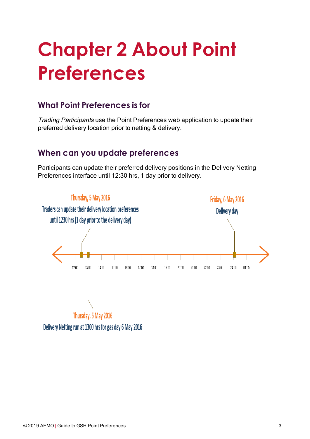# <span id="page-5-0"></span>**Chapter 2 About Point Preferences**

# <span id="page-5-1"></span>**What Point Preferences is for**

Trading Participants use the Point Preferences web application to update their preferred delivery location prior to netting & delivery.

# <span id="page-5-2"></span>**When can you update preferences**

Participants can update their preferred delivery positions in the Delivery Netting Preferences interface until 12:30 hrs, 1 day prior to delivery.



Delivery Netting run at 1300 hrs for gas day 6 May 2016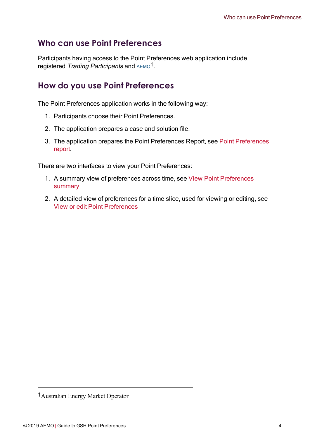# <span id="page-6-0"></span>**Who can use Point Preferences**

Participants having access to the Point Preferences web application include registered Trading Participants and AEMO1.

# <span id="page-6-1"></span>**How do you use Point Preferences**

The Point Preferences application works in the following way:

- 1. Participants choose their Point Preferences.
- 2. The application prepares a case and solution file.
- 3. The application prepares the Point Preferences Report, see Point [Preferences](#page-13-0) [report](#page-13-0).

There are two interfaces to view your Point Preferences:

- 1. A summary view of preferences across time, see View Point [Preferences](#page-8-0) [summary](#page-8-0)
- 2. A detailed view of preferences for a time slice, used for viewing or editing, see View or edit Point [Preferences](#page-10-0)

<sup>1</sup>Australian Energy Market Operator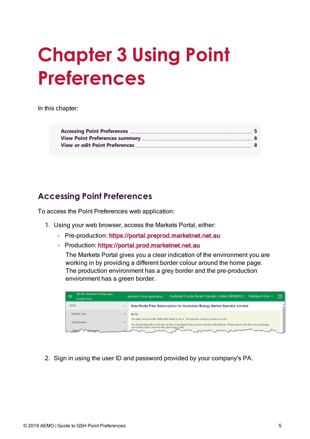# <span id="page-7-0"></span>**Chapter 3 Using Point Preferences**

In this chapter:

# <span id="page-7-1"></span>**Accessing Point Preferences**

To access the Point Preferences web application:

- 1. Using your web browser, access the Markets Portal, either:
	- <sup>o</sup> Pre-production: [https://portal.preprod.marketnet.net.au](https://portal.prod.nemnet.net.au/)
	- <sup>o</sup> Production: [https://portal.prod.marketnet.net.au](https://portal.prod.nemnet.net.au/)

The Markets Portal gives you a clear indication of the environment you are working in by providing a different border colour around the home page. The production environment has a grey border and the pre-production environment has a green border.

| AEMO Markets Portal (pre-<br>production) |                          | Australian Energy Market Operator Limited (NEMMCO)<br>Participant User $\vee$<br><b>Markets Portal application</b>                                                                                                                | (?) |
|------------------------------------------|--------------------------|-----------------------------------------------------------------------------------------------------------------------------------------------------------------------------------------------------------------------------------|-----|
| <b>MMS</b>                               | $\overline{\phantom{a}}$ | Data Model Files Subscription for Australian Energy Market Operator Limited                                                                                                                                                       |     |
| Market Info                              |                          | NOTF:                                                                                                                                                                                                                             |     |
| Settlements                              |                          | The latest version of the MMS Data Model is v4.27. The previous or legacy version is v4.26<br>You should subscribe to the new version of any legacy files you are currently subscribed to. Please ensure new files are processing |     |
|                                          |                          | successfully before unsubscribing from legacy files.<br>months.<br>----                                                                                                                                                           |     |

2. Sign in using the user ID and password provided by your company's PA.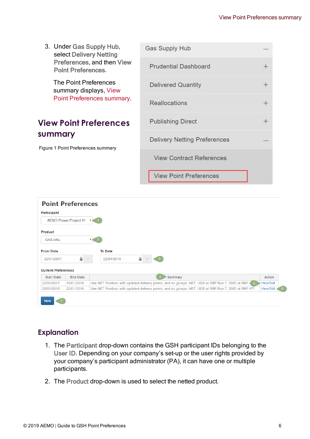<span id="page-8-0"></span>3. Under Gas Supply Hub, Gas Supply Hub select Delivery Netting Preferences, and then View **Prudential Dashboard**  $\ddot{}$ Point Preferences. The Point Preferences **Delivered Quantity**  $\ddot{}$ summary displays, [View](#page-8-0) Point [Preferences](#page-8-0) summary. Reallocations  $\ddot{}$ **Publishing Direct**  $^{+}$ **View Point Preferences summary Delivery Netting Preferences** Figure 1 Point Preferences summary **View Contract References View Point Preferences** 



## **Explanation**

- 1. The Participant drop-down contains the GSH participant IDs belonging to the User ID. Depending on your company's set-up or the user rights provided by your company's participant administrator (PA), it can have one or multiple participants.
- 2. The Product drop-down is used to select the netted product.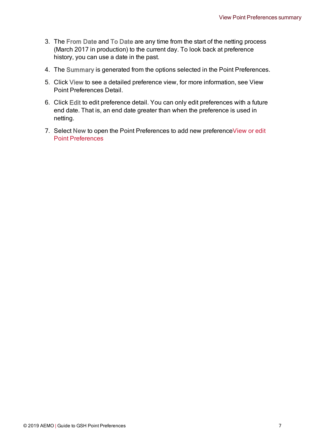- 3. The From Date and To Date are any time from the start of the netting process (March 2017 in production) to the current day. To look back at preference history, you can use a date in the past.
- 4. The Summary is generated from the options selected in the Point Preferences.
- 5. Click View to see a detailed preference view, for more information, see View Point Preferences Detail.
- 6. Click Edit to edit preference detail. You can only edit preferences with a future end date. That is, an end date greater than when the preference is used in netting.
- 7. Select New to open the Point Preferences to add new preference [View](#page-10-0) or edit Point [Preferences](#page-10-0)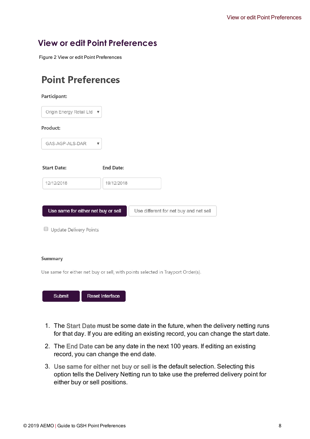# <span id="page-10-0"></span>**View or edit Point Preferences**

Figure 2 View or edit Point Preferences

# **Point Preferences**

| Participant:                        |                  |                                        |
|-------------------------------------|------------------|----------------------------------------|
| Origin Energy Retail Ltd ▼          |                  |                                        |
| Product:                            |                  |                                        |
| GAS-AGP-ALS-DAR                     | ▼                |                                        |
| <b>Start Date:</b>                  | <b>End Date:</b> |                                        |
| 12/12/2018                          | 19/12/2018       |                                        |
|                                     |                  |                                        |
| Use same for either net buy or sell |                  | Use different for net buy and net sell |
|                                     |                  |                                        |

Update Delivery Points

#### **Summary**

Use same for either net buy or sell, with points selected in Trayport Order(s).

| Submit | Reset Interface |
|--------|-----------------|
|        |                 |

- 1. The Start Date must be some date in the future, when the delivery netting runs for that day. If you are editing an existing record, you can change the start date.
- 2. The End Date can be any date in the next 100 years. If editing an existing record, you can change the end date.
- 3. Use same for either net buy or sell is the default selection. Selecting this option tells the Delivery Netting run to take use the preferred delivery point for either buy or sell positions.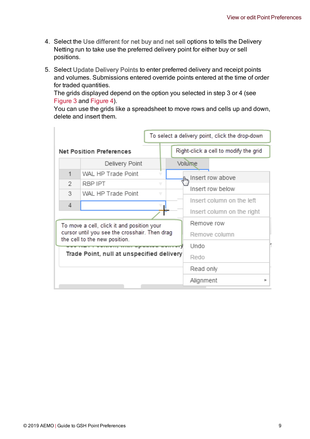- 4. Select the Use different for net buy and net sell options to tells the Delivery Netting run to take use the preferred delivery point for either buy or sell positions.
- <span id="page-11-0"></span>5. Select Update Delivery Points to enter preferred delivery and receipt points and volumes. Submissions entered override points entered at the time of order for traded quantities.

The grids displayed depend on the option you selected in step 3 or 4 (see [Figure](#page-12-0) 3 and [Figure](#page-12-1) 4).

You can use the grids like a spreadsheet to move rows and cells up and down, delete and insert them.

|   |                                                                                | To select a delivery point, click the drop-down |
|---|--------------------------------------------------------------------------------|-------------------------------------------------|
|   | <b>Net Position Preferences</b>                                                | Right-click a cell to modify the grid           |
|   | Delivery Point                                                                 | Volume                                          |
| 1 | WAL HP Trade Point<br>v                                                        | <b>J<sub>ho</sub></b> Insert row above          |
| 2 | RBP IPT<br>v                                                                   | Insert row below                                |
| 3 | WAL HP Trade Point<br>v                                                        | Insert column on the left                       |
| 4 |                                                                                |                                                 |
|   |                                                                                | Insert column on the right                      |
|   | To move a cell, click it and position your                                     | Remove row                                      |
|   | cursor until you see the crosshair. Then drag<br>the cell to the new position. | Remove column                                   |
|   | www.community.community.org/www.www.www.community.com                          | Undo                                            |
|   | Trade Point, null at unspecified delivery                                      | Redo                                            |
|   |                                                                                | Read only                                       |
|   |                                                                                | Alignment<br>ь                                  |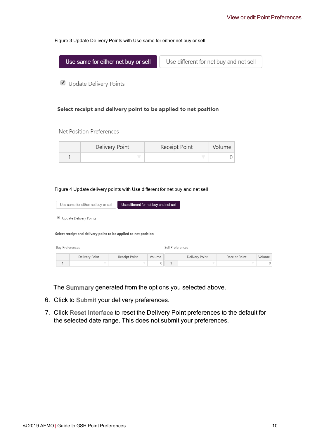#### <span id="page-12-0"></span>Figure 3 Update Delivery Points with Use same for either net buy or sell

| Use same for either net buy or sell | Use different for net buy and net sell |  |  |
|-------------------------------------|----------------------------------------|--|--|
|                                     |                                        |  |  |

Update Delivery Points

#### Select receipt and delivery point to be applied to net position

#### Net Position Preferences

| Delivery Point | Receipt Point | Volume |
|----------------|---------------|--------|
|                |               |        |

#### <span id="page-12-1"></span>Figure 4 Update delivery points with Use different for net buy and net sell

|                        | Use same for either net buy or sell                             | Use different for net buy and net sell |        |                  |                |               |          |  |  |
|------------------------|-----------------------------------------------------------------|----------------------------------------|--------|------------------|----------------|---------------|----------|--|--|
| $\blacktriangledown$   | Update Delivery Points                                          |                                        |        |                  |                |               |          |  |  |
|                        | Select receipt and delivery point to be applied to net position |                                        |        |                  |                |               |          |  |  |
| <b>Buy Preferences</b> |                                                                 |                                        |        | Sell Preferences |                |               |          |  |  |
|                        | Delivery Point                                                  | Receipt Point                          | Volume |                  | Delivery Point | Receipt Point | Volume   |  |  |
| 1                      | v                                                               | v                                      | 0      | $\overline{1}$   | v              | v             | $\Omega$ |  |  |

The Summary generated from the options you selected above.

- 6. Click to Submit your delivery preferences.
- 7. Click Reset Interface to reset the Delivery Point preferences to the default for the selected date range. This does not submit your preferences.

 $\overline{0}$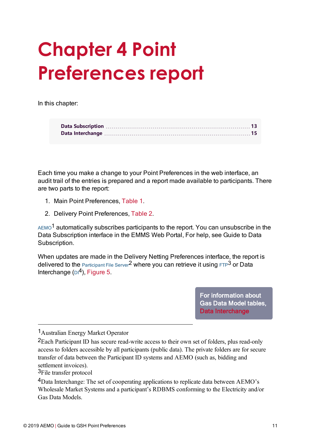# <span id="page-13-0"></span>**Chapter 4 Point Preferences report**

In this chapter:

Each time you make a change to your Point Preferences in the web interface, an audit trail of the entries is prepared and a report made available to participants. There are two parts to the report:

- 1. Main Point Preferences, [Table](#page-14-0) 1.
- 2. Delivery Point Preferences, [Table](#page-15-1) 2.

 $AEMO<sup>1</sup>$  automatically subscribes participants to the report. You can unsubscribe in the Data Subscription interface in the EMMS Web Portal, For help, see Guide to Data Subscription.

When updates are made in the Delivery Netting Preferences interface, the report is delivered to the Participant File Server<sup>2</sup> where you can retrieve it using  $FTP<sup>3</sup>$  or Data Interchange  $(D_1^4)$ , [Figure](#page-17-1) 5.

> For information about Gas Data Model tables, Data [Interchange](#page-17-0)

1Australian Energy Market Operator

<sup>2</sup>Each Participant ID has secure read-write access to their own set of folders, plus read-only access to folders accessible by all participants (public data). The private folders are for secure transfer of data between the Participant ID systems and AEMO (such as, bidding and settlement invoices).

<sup>3</sup>File transfer protocol

<sup>4</sup>Data Interchange: The set of cooperating applications to replicate data between AEMO's Wholesale Market Systems and a participant's RDBMS conforming to the Electricity and/or Gas Data Models.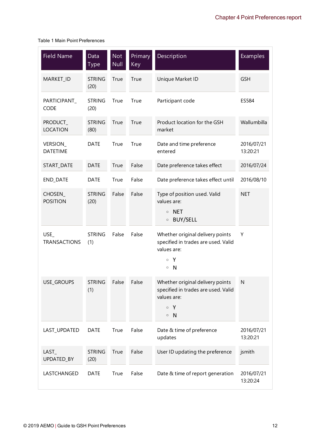#### <span id="page-14-0"></span>Table 1 Main Point Preferences

| <b>Field Name</b>           | Data<br><b>Type</b>   | <b>Not</b><br><b>Null</b> | Primary<br><b>Key</b> | Description                                                                                                         | <b>Examples</b>        |
|-----------------------------|-----------------------|---------------------------|-----------------------|---------------------------------------------------------------------------------------------------------------------|------------------------|
| MARKET_ID                   | <b>STRING</b><br>(20) | True                      | True                  | Unique Market ID                                                                                                    | <b>GSH</b>             |
| PARTICIPANT_<br><b>CODE</b> | <b>STRING</b><br>(20) | True                      | True                  | Participant code                                                                                                    | ES584                  |
| PRODUCT_<br><b>LOCATION</b> | <b>STRING</b><br>(80) | True                      | True                  | Product location for the GSH<br>market                                                                              | Wallumbilla            |
| VERSION_<br><b>DATETIME</b> | <b>DATE</b>           | True                      | True                  | Date and time preference<br>entered                                                                                 | 2016/07/21<br>13:20:21 |
| START_DATE                  | <b>DATE</b>           | True                      | False                 | Date preference takes effect                                                                                        | 2016/07/24             |
| END_DATE                    | <b>DATE</b>           | True                      | False                 | Date preference takes effect until                                                                                  | 2016/08/10             |
| CHOSEN_<br><b>POSITION</b>  | <b>STRING</b><br>(20) | False                     | False                 | Type of position used. Valid<br>values are:<br><b>NET</b><br>$\circ$<br>BUY/SELL<br>$\circ$                         | <b>NET</b>             |
| USE<br><b>TRANSACTIONS</b>  | <b>STRING</b><br>(1)  | False                     | False                 | Whether original delivery points<br>specified in trades are used. Valid<br>values are:<br>Y<br>$\circ$<br>$\circ$ N | Υ                      |
| USE_GROUPS                  | STRING<br>(1)         | False                     | False                 | Whether original delivery points<br>specified in trades are used. Valid<br>values are:<br>Y<br>$\circ$<br>$\circ$ N | N                      |
| LAST_UPDATED                | <b>DATE</b>           | True                      | False                 | Date & time of preference<br>updates                                                                                | 2016/07/21<br>13:20:21 |
| LAST_<br>UPDATED_BY         | <b>STRING</b><br>(20) | True                      | False                 | User ID updating the preference                                                                                     | jsmith                 |
| LASTCHANGED                 | <b>DATE</b>           | True                      | False                 | Date & time of report generation                                                                                    | 2016/07/21<br>13:20:24 |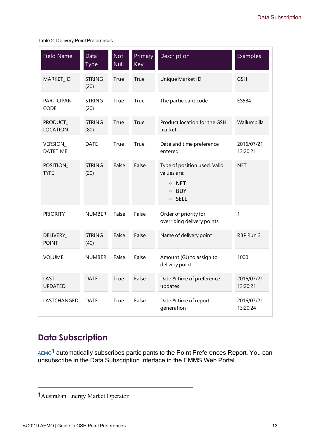<span id="page-15-1"></span>Table 2 Delivery Point Preferences

| <b>Field Name</b>            | Data<br><b>Type</b>   | $\overline{\text{Not}}$<br><b>Null</b> | Primary<br>Key | Description                                                                                   | <b>Examples</b>        |
|------------------------------|-----------------------|----------------------------------------|----------------|-----------------------------------------------------------------------------------------------|------------------------|
| MARKET_ID                    | <b>STRING</b><br>(20) | True                                   | True           | Unique Market ID                                                                              | <b>GSH</b>             |
| PARTICIPANT_<br><b>CODE</b>  | <b>STRING</b><br>(20) | True                                   | True           | The participant code                                                                          | ES584                  |
| PRODUCT_<br><b>LOCATION</b>  | <b>STRING</b><br>(80) | True                                   | True           | Product location for the GSH<br>market                                                        | Wallumbilla            |
| VERSION_<br><b>DATETIME</b>  | DATE                  | True                                   | True           | Date and time preference<br>entered                                                           | 2016/07/21<br>13:20:21 |
| POSITION_<br><b>TYPE</b>     | <b>STRING</b><br>(20) | False                                  | False          | Type of position used. Valid<br>values are:<br>$\circ$ NET<br><b>BUY</b><br>$\circ$<br>○ SELL | <b>NET</b>             |
| <b>PRIORITY</b>              | <b>NUMBER</b>         | False                                  | False          | Order of priority for<br>overriding delivery points                                           | 1                      |
| DELIVERY_<br><b>POINT</b>    | <b>STRING</b><br>(40) | False                                  | False          | Name of delivery point                                                                        | RBP Run 3              |
| <b>VOLUME</b>                | <b>NUMBER</b>         | False                                  | False          | Amount (GJ) to assign to<br>delivery point                                                    | 1000                   |
| $LAST_{-}$<br><b>UPDATED</b> | <b>DATE</b>           | True                                   | False          | Date & time of preference<br>updates                                                          | 2016/07/21<br>13:20:21 |
| LASTCHANGED                  | <b>DATE</b>           | True                                   | False          | Date & time of report<br>generation                                                           | 2016/07/21<br>13:20:24 |

# <span id="page-15-0"></span>**Data Subscription**

AEMO<sup>1</sup> automatically subscribes participants to the Point Preferences Report. You can unsubscribe in the Data Subscription interface in the EMMS Web Portal.

<sup>1</sup>Australian Energy Market Operator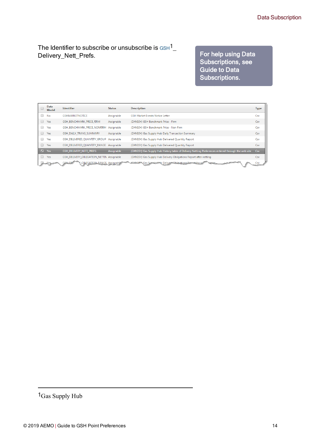<span id="page-16-0"></span>The Identifier to subscribe or unsubscribe is  $GSH<sup>1</sup>$ Delivery\_Nett\_Prefs.

## For help using Data Subscriptions, see Guide to Data Subscriptions.

| Data<br><b>Model</b> | <b>Identifier</b>                         | <b>Status</b> | <b>Description</b>                                                                                 | <b>Type</b> |
|----------------------|-------------------------------------------|---------------|----------------------------------------------------------------------------------------------------|-------------|
| No                   | <b>GSHMARKETNOTICE</b>                    | Assignable    | <b>GSH Market Events Notice Letter</b>                                                             | Csv         |
| Yes                  | GSH BENCHMARK PRICE FIRM                  | Assignable    | (DM:GSH) GSH Benchmark Price - Firm                                                                | Csv         |
| Yes                  | GSH BENCHMARK PRICE NONFIRM               | Assignable    | (DM:GSH) GSH Benchmark Price - Non Firm                                                            | Csv         |
| Yes                  | GSH DAILY TRANS SUMMARY                   | Assignable    | (DM:GSH) Gas Supply Hub Daily Transaction Summary                                                  | Csv         |
| Yes                  | GSH_DELIVERED_QUANTITY_GROUP              | Assignable    | (DM:GSH) Gas Supply Hub Delivered Quantity Report                                                  | Csv         |
| Yes                  | GSH_DELIVERED_QUANTITY_RANGE Assignable   |               | (DM:GSH) Gas Supply Hub Delivered Quantity Report                                                  | Csv         |
| $V = Y$ es           | <b>GSH_DELIVERY_NETT_PREFS</b>            | Assignable    | (DM:GSH) Gas Supply Hub History table of Delivery Netting Preferences entered through the web site | Csv         |
| Yes                  | GSH_DELIVERY_OBLIGATION_NETTIN_Assignable |               | (DM:GSH) Gas Supply Hub Delivery Obligations Report after netting                                  | Csv         |
|                      | OPLIGATION RANGE Assignable               |               | AMAGER Gas Survivalidation Remember 2017                                                           | Csv         |

<sup>1</sup>Gas Supply Hub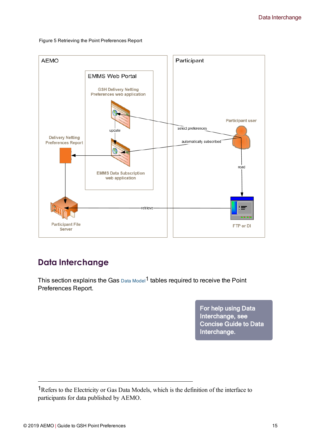

#### <span id="page-17-1"></span>Figure 5 Retrieving the Point Preferences Report

# <span id="page-17-0"></span>**Data Interchange**

<span id="page-17-2"></span>This section explains the Gas  $Data Model<sup>1</sup>$  tables required to receive the Point Preferences Report.

> For help using Data Interchange, see Concise Guide to Data Interchange.

<sup>1</sup>Refers to the Electricity or Gas Data Models, which is the definition of the interface to participants for data published by AEMO.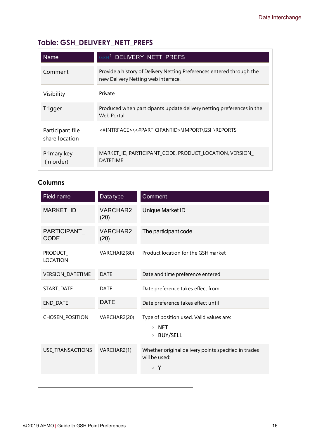# <span id="page-18-0"></span>**Table: GSH\_DELIVERY\_NETT\_PREFS**

| <b>Name</b>                        | GSH <sup>1</sup> DELIVERY NETT PREFS                                                                         |
|------------------------------------|--------------------------------------------------------------------------------------------------------------|
| Comment                            | Provide a history of Delivery Netting Preferences entered through the<br>new Delivery Netting web interface. |
| Visibility                         | Private                                                                                                      |
| Trigger                            | Produced when participants update delivery netting preferences in the<br>Web Portal.                         |
| Participant file<br>share location | <#INTRFACE>\<#PARTICIPANTID>\IMPORT\GSH\REPORTS                                                              |
| Primary key<br>(in order)          | MARKET_ID, PARTICIPANT_CODE, PRODUCT_LOCATION, VERSION_<br><b>DATFTIMF</b>                                   |

## **Columns**

| Field name                        | Data type               | Comment                                                                                         |
|-----------------------------------|-------------------------|-------------------------------------------------------------------------------------------------|
| <b>MARKET ID</b>                  | VARCHAR2<br>(20)        | Unique Market ID                                                                                |
| PARTICIPANT_<br><b>CODE</b>       | <b>VARCHAR2</b><br>(20) | The participant code                                                                            |
| <b>PRODUCT</b><br><b>LOCATION</b> | VARCHAR2(80)            | Product location for the GSH market                                                             |
| VERSION_DATETIME                  | <b>DATE</b>             | Date and time preference entered                                                                |
| START_DATE                        | <b>DATE</b>             | Date preference takes effect from                                                               |
| <b>END DATE</b>                   | <b>DATE</b>             | Date preference takes effect until                                                              |
| CHOSEN_POSITION                   | VARCHAR2(20)            | Type of position used. Valid values are:<br><b>NET</b><br>$\circ$<br><b>BUY/SELL</b><br>$\circ$ |
| <b>USE TRANSACTIONS</b>           | VARCHAR2(1)             | Whether original delivery points specified in trades<br>will be used:<br>$\circ$ Y              |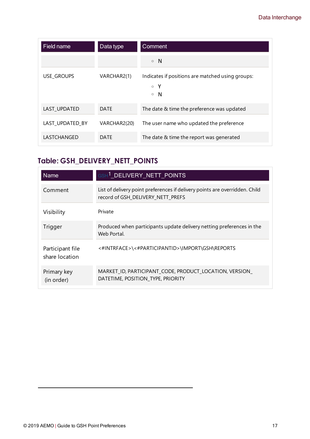| Field name        | Data type    | Comment                                                                             |
|-------------------|--------------|-------------------------------------------------------------------------------------|
|                   |              | $\circ$ N                                                                           |
| <b>USE GROUPS</b> | VARCHAR2(1)  | Indicates if positions are matched using groups:<br>- Y<br>$\circ$<br>-N<br>$\circ$ |
| LAST UPDATED      | <b>DATE</b>  | The date & time the preference was updated                                          |
| LAST UPDATED BY   | VARCHAR2(20) | The user name who updated the preference                                            |
| LASTCHANGED       | DATE         | The date & time the report was generated                                            |

# <span id="page-19-0"></span>**Table: GSH\_DELIVERY\_NETT\_POINTS**

| <b>Name</b>                        | GSH <sup>1</sup> DELIVERY NETT POINTS                                                                            |
|------------------------------------|------------------------------------------------------------------------------------------------------------------|
| Comment                            | List of delivery point preferences if delivery points are overridden. Child<br>record of GSH_DELIVERY_NETT_PREFS |
| Visibility                         | Private                                                                                                          |
| Trigger                            | Produced when participants update delivery netting preferences in the<br>Web Portal.                             |
| Participant file<br>share location | <#INTRFACE>\<#PARTICIPANTID>\IMPORT\GSH\REPORTS                                                                  |
| Primary key<br>(in order)          | MARKET ID, PARTICIPANT CODE, PRODUCT LOCATION, VERSION<br>DATETIME, POSITION_TYPE, PRIORITY                      |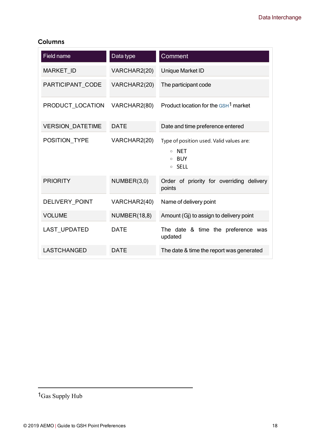## **Columns**

| Field name              | Data type           | Comment                                                                                            |  |
|-------------------------|---------------------|----------------------------------------------------------------------------------------------------|--|
| <b>MARKET ID</b>        | VARCHAR2(20)        | Unique Market ID                                                                                   |  |
| PARTICIPANT_CODE        | VARCHAR2(20)        | The participant code                                                                               |  |
| PRODUCT_LOCATION        | VARCHAR2(80)        | Product location for the GSH <sup>1</sup> market                                                   |  |
| <b>VERSION DATETIME</b> | <b>DATE</b>         | Date and time preference entered                                                                   |  |
| POSITION TYPE           | VARCHAR2(20)        | Type of position used. Valid values are:<br><b>NET</b><br>$\circ$<br>BUY<br><b>SELL</b><br>$\circ$ |  |
| <b>PRIORITY</b>         | NUMBER(3,0)         | Order of priority for overriding<br>delivery<br>points                                             |  |
| DELIVERY POINT          | VARCHAR2(40)        | Name of delivery point                                                                             |  |
| <b>VOLUME</b>           | <b>NUMBER(18,8)</b> | Amount (Gj) to assign to delivery point                                                            |  |
| <b>LAST UPDATED</b>     | <b>DATE</b>         | The date & time the preference was<br>updated                                                      |  |
| <b>LASTCHANGED</b>      | <b>DATE</b>         | The date & time the report was generated                                                           |  |

<sup>1</sup>Gas Supply Hub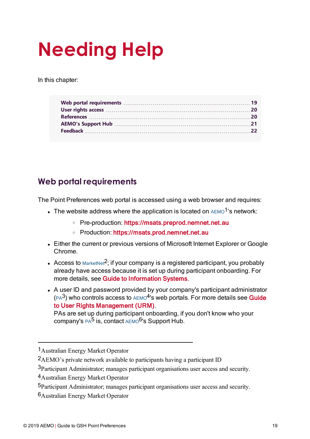# <span id="page-21-0"></span>**Needing Help**

In this chapter:

| Feedback 22 |  |
|-------------|--|
|             |  |

# <span id="page-21-1"></span>**Web portal requirements**

The Point Preferences web portal is accessed using a web browser and requires:

- The website address where the application is located on  $AEMO<sup>1</sup>$ 's network:
	- <sup>o</sup> Pre-production: [https://msats.preprod.nemnet.net.au](https://portal.prod.nemnet.net.au/)
	- <sup>o</sup> Production: [https://msats.prod.nemnet.net.au](https://portal.prod.nemnet.net.au/)
- Either the current or previous versions of Microsoft Internet Explorer or Google Chrome.
- Access to MarketNet<sup>2</sup>; if your company is a registered participant, you probably already have access because it is set up during participant onboarding. For more details, see Guide to [Information](http://www.aemo.com.au/) Systems.
- A user ID and password provided by your company's participant administrator  $(PA<sup>3</sup>)$  who controls access to  $AEMO<sup>4</sup>$ 's web portals. For more details see **[Guide](http://aemo.com.au/~/media/Files/Other/energy market information systems/Guide_to_User_Rights_Management.ashx)** to User Rights [Management](http://aemo.com.au/~/media/Files/Other/energy market information systems/Guide_to_User_Rights_Management.ashx) (URM).

PAs are set up during participant onboarding, if you don't know who your company's PA<sup>5</sup> is, contact AEMO<sup>6</sup>'s Support Hub.

<sup>1</sup>Australian Energy Market Operator

<sup>2</sup>AEMO's private network available to participants having a participant ID

<sup>3</sup>Participant Administrator; manages participant organisations user access and security.

<sup>4</sup>Australian Energy Market Operator

<sup>5</sup>Participant Administrator; manages participant organisations user access and security.

<sup>6</sup>Australian Energy Market Operator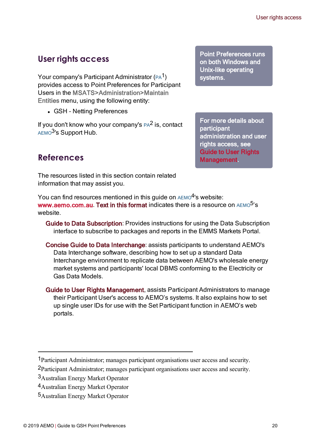# <span id="page-22-0"></span>**User rights access**

Your company's Participant Administrator (PA<sup>1</sup>) provides access to Point Preferences for Participant Users in the MSATS>Administration>Maintain Entities menu, using the following entity:

• GSH - Netting Preferences

If you don't know who your company's  $PA^2$  is, contact AEMO<sup>3</sup>'s Support Hub.

<span id="page-22-1"></span>**References**

The resources listed in this section contain related information that may assist you.

You can find resources mentioned in this quide on  $AEMO<sup>4</sup>$ 's website: [www.aemo.com.au](http://www.aemo.com.au/). Text in this format indicates there is a resource on  $AEMO<sup>5</sup>$ 's website.

- <span id="page-22-2"></span>Guide to Data Subscription: Provides instructions for using the Data Subscription interface to subscribe to packages and reports in the EMMS Markets Portal.
- Concise Guide to Data Interchange: assists participants to understand AEMO's Data Interchange software, describing how to set up a standard Data Interchange environment to replicate data between AEMO's wholesale energy market systems and participants' local DBMS conforming to the Electricity or Gas Data Models.
- Guide to User Rights Management, assists Participant Administrators to manage their Participant User's access to AEMO's systems. It also explains how to set up single user IDs for use with the Set Participant function in AEMO's web portals.

For more details about participant administration and user rights access, see Guide to User Rights Management.

<sup>1</sup>Participant Administrator; manages participant organisations user access and security.

<sup>2</sup>Participant Administrator; manages participant organisations user access and security.

<sup>3</sup>Australian Energy Market Operator

<sup>4</sup>Australian Energy Market Operator

<sup>5</sup>Australian Energy Market Operator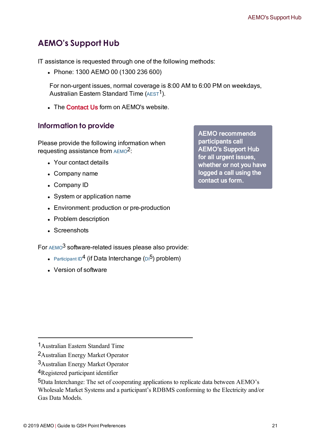# <span id="page-23-0"></span>**AEMO's Support Hub**

IT assistance is requested through one of the following methods:

• Phone: 1300 AEMO 00 (1300 236 600)

For non-urgent issues, normal coverage is 8:00 AM to 6:00 PM on weekdays, Australian Eastern Standard Time  $(AEST<sup>1</sup>)$ .

. The Contact Us form on AFMO's website.

## **Information to provide**

Please provide the following information when requesting assistance from AEMO<sup>2</sup>:

- Your contact details
- Company name
- Company ID
- System or application name
- Environment: production or pre-production
- Problem description
- Screenshots

For AEMO<sup>3</sup> software-related issues please also provide:

- Participant ID<sup>4</sup> (if Data Interchange  $(D1^5)$  problem)
- **.** Version of software

AEMO recommends participants call AEMO's Support Hub for all urgent issues, whether or not you have logged a call using the contact us form.

<sup>1</sup>Australian Eastern Standard Time

<sup>2</sup>Australian Energy Market Operator

<sup>3</sup>Australian Energy Market Operator

<sup>4</sup>Registered participant identifier

<sup>5</sup>Data Interchange: The set of cooperating applications to replicate data between AEMO's Wholesale Market Systems and a participant's RDBMS conforming to the Electricity and/or Gas Data Models.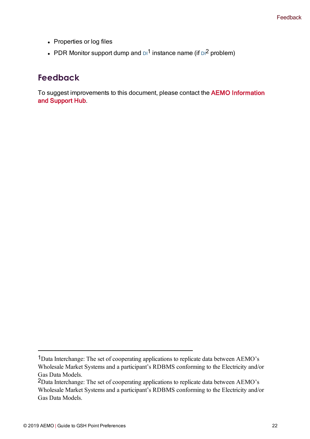- Properties or log files
- PDR Monitor support dump and  $\text{D1}^1$  instance name (if  $\text{D1}^2$  problem)

## <span id="page-24-0"></span>**Feedback**

To suggest improvements to this document, please contact the AEMO [Information](mailto:supporthub@aemo.com.au?subject=Feedback?subject=Feedback) and [Support](mailto:supporthub@aemo.com.au?subject=Feedback?subject=Feedback) Hub.

<sup>1</sup>Data Interchange: The set of cooperating applications to replicate data between AEMO's Wholesale Market Systems and a participant's RDBMS conforming to the Electricity and/or Gas Data Models.

<sup>2</sup>Data Interchange: The set of cooperating applications to replicate data between AEMO's Wholesale Market Systems and a participant's RDBMS conforming to the Electricity and/or Gas Data Models.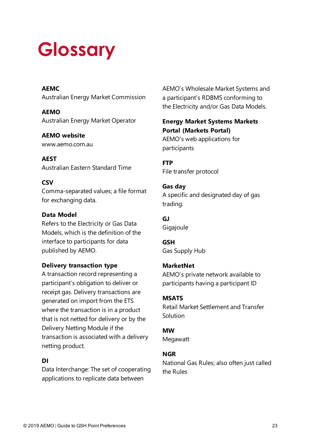# <span id="page-25-0"></span>**Glossary**

### **AEMC**

Australian Energy Market Commission

**AEMO** Australian Energy Market Operator

**AEMO website** www.aemo.com.au

**AEST** Australian Eastern Standard Time

## **CSV**

Comma-separated values; a file format for exchanging data.

### **Data Model**

Refers to the Electricity or Gas Data Models, which is the definition of the interface to participants for data published by AEMO.

### **Delivery transaction type**

A transaction record representing a participant's obligation to deliver or receipt gas. Delivery transactions are generated on import from the ETS where the transaction is in a product that is not netted for delivery or by the Delivery Netting Module if the transaction is associated with a delivery netting product.

## **DI**

Data Interchange: The set of cooperating applications to replicate data between

AEMO's Wholesale Market Systems and a participant's RDBMS conforming to the Electricity and/or Gas Data Models.

## **Energy Market Systems Markets Portal (Markets Portal)** AEMO's web applications for

participants

**FTP** File transfer protocol

## **Gas day** A specific and designated day of gas trading.

**GJ** Gigajoule

**GSH** Gas Supply Hub

## **MarketNet**

AEMO's private network available to participants having a participant ID

## **MSATS**

Retail Market Settlement and Transfer Solution

## **MW**

Megawatt

## **NGR**

National Gas Rules; also often just called the Rules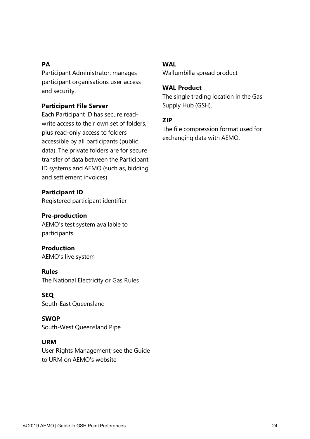### **PA**

Participant Administrator; manages participant organisations user access and security.

### **Participant File Server**

Each Participant ID has secure readwrite access to their own set of folders, plus read-only access to folders accessible by all participants (public data). The private folders are for secure transfer of data between the Participant ID systems and AEMO (such as, bidding and settlement invoices).

#### **Participant ID**

Registered participant identifier

### **Pre-production**

AEMO's test system available to participants

### **Production**

AEMO's live system

### **Rules**

The National Electricity or Gas Rules

## **SEQ**

South-East Queensland

### **SWQP** South-West Queensland Pipe

### **URM**

User Rights Management; see the Guide to URM on AEMO's website

#### **WAL**

Wallumbilla spread product

### **WAL Product**

The single trading location in the Gas Supply Hub (GSH).

### **ZIP**

The file compression format used for exchanging data with AEMO.